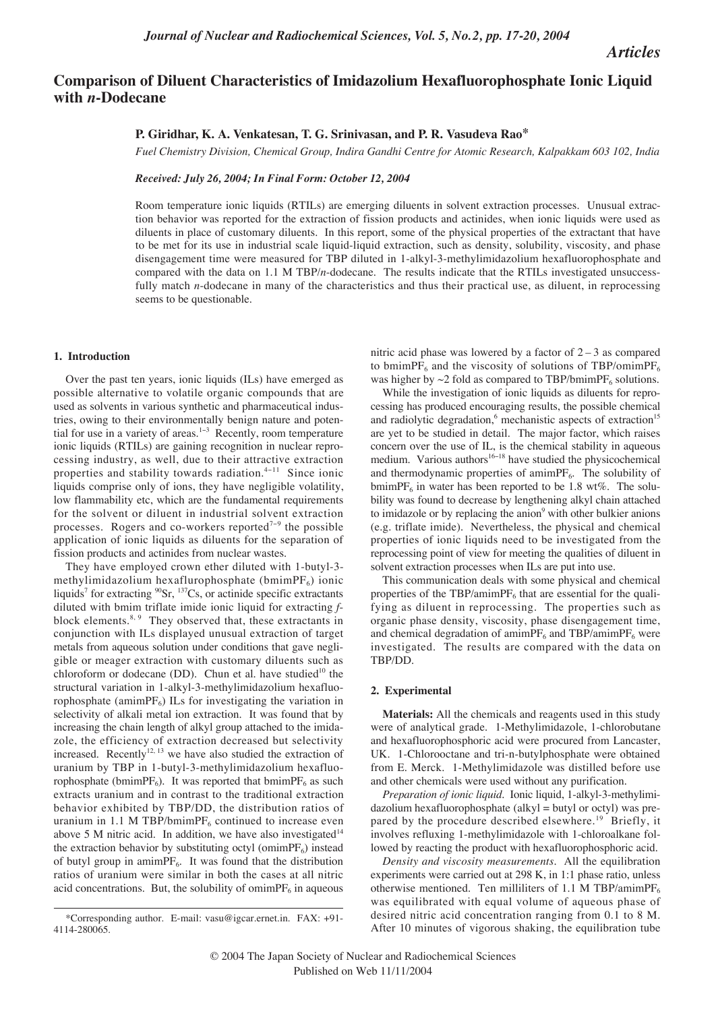*Articles*

# **Comparison of Diluent Characteristics of Imidazolium Hexafluorophosphate Ionic Liquid with** *n***-Dodecane**

# **P. Giridhar, K. A. Venkatesan, T. G. Srinivasan, and P. R. Vasudeva Rao\***

*Fuel Chemistry Division, Chemical Group, Indira Gandhi Centre for Atomic Research, Kalpakkam 603 102, India*

*Received: July 26, 2004; In Final Form: October 12, 2004*

Room temperature ionic liquids (RTILs) are emerging diluents in solvent extraction processes. Unusual extraction behavior was reported for the extraction of fission products and actinides, when ionic liquids were used as diluents in place of customary diluents. In this report, some of the physical properties of the extractant that have to be met for its use in industrial scale liquid-liquid extraction, such as density, solubility, viscosity, and phase disengagement time were measured for TBP diluted in 1-alkyl-3-methylimidazolium hexafluorophosphate and compared with the data on 1.1 M TBP/*n*-dodecane. The results indicate that the RTILs investigated unsuccessfully match *n*-dodecane in many of the characteristics and thus their practical use, as diluent, in reprocessing seems to be questionable.

## **1. Introduction**

Over the past ten years, ionic liquids (ILs) have emerged as possible alternative to volatile organic compounds that are used as solvents in various synthetic and pharmaceutical industries, owing to their environmentally benign nature and potential for use in a variety of areas.<sup>1−3</sup> Recently, room temperature ionic liquids (RTILs) are gaining recognition in nuclear reprocessing industry, as well, due to their attractive extraction properties and stability towards radiation.<sup>4</sup>−<sup>11</sup> Since ionic liquids comprise only of ions, they have negligible volatility, low flammability etc, which are the fundamental requirements for the solvent or diluent in industrial solvent extraction processes. Rogers and co-workers reported<sup>7-9</sup> the possible application of ionic liquids as diluents for the separation of fission products and actinides from nuclear wastes.

They have employed crown ether diluted with 1-butyl-3 methylimidazolium hexaflurophosphate (bmim $PF_6$ ) ionic liquids<sup>7</sup> for extracting  $^{90}Sr$ ,  $^{137}Cs$ , or actinide specific extractants diluted with bmim triflate imide ionic liquid for extracting *f*block elements. $8, 9$  They observed that, these extractants in conjunction with ILs displayed unusual extraction of target metals from aqueous solution under conditions that gave negligible or meager extraction with customary diluents such as chloroform or dodecane (DD). Chun et al. have studied<sup>10</sup> the structural variation in 1-alkyl-3-methylimidazolium hexafluorophosphate (amimP $F_6$ ) ILs for investigating the variation in selectivity of alkali metal ion extraction. It was found that by increasing the chain length of alkyl group attached to the imidazole, the efficiency of extraction decreased but selectivity increased. Recently<sup>12, 13</sup> we have also studied the extraction of uranium by TBP in 1-butyl-3-methylimidazolium hexafluorophosphate (bmimPF<sub>6</sub>). It was reported that bmimPF<sub>6</sub> as such extracts uranium and in contrast to the traditional extraction behavior exhibited by TBP/DD, the distribution ratios of uranium in 1.1 M TBP/bmimP $F_6$  continued to increase even above 5 M nitric acid. In addition, we have also investigated<sup>14</sup> the extraction behavior by substituting octyl (omimPF $_6$ ) instead of butyl group in amimPF<sub>6</sub>. It was found that the distribution ratios of uranium were similar in both the cases at all nitric acid concentrations. But, the solubility of omimP $F_6$  in aqueous

nitric acid phase was lowered by a factor of  $2 - 3$  as compared to bmimPF<sub>6</sub> and the viscosity of solutions of TBP/omimPF<sub>6</sub> was higher by  $\sim$ 2 fold as compared to TBP/bmimPF<sub>6</sub> solutions.

While the investigation of ionic liquids as diluents for reprocessing has produced encouraging results, the possible chemical and radiolytic degradation,<sup>6</sup> mechanistic aspects of extraction<sup>15</sup> are yet to be studied in detail. The major factor, which raises concern over the use of IL, is the chemical stability in aqueous medium. Various authors<sup>16−18</sup> have studied the physicochemical and thermodynamic properties of amimP $F_6$ . The solubility of bmimPF<sub>6</sub> in water has been reported to be 1.8 wt%. The solubility was found to decrease by lengthening alkyl chain attached to imidazole or by replacing the anion<sup>9</sup> with other bulkier anions (e.g. triflate imide). Nevertheless, the physical and chemical properties of ionic liquids need to be investigated from the reprocessing point of view for meeting the qualities of diluent in solvent extraction processes when ILs are put into use.

This communication deals with some physical and chemical properties of the TBP/amimP $F_6$  that are essential for the qualifying as diluent in reprocessing. The properties such as organic phase density, viscosity, phase disengagement time, and chemical degradation of amimPF<sub>6</sub> and TBP/amimPF<sub>6</sub> were investigated. The results are compared with the data on TBP/DD.

#### **2. Experimental**

**Materials:** All the chemicals and reagents used in this study were of analytical grade. 1-Methylimidazole, 1-chlorobutane and hexafluorophosphoric acid were procured from Lancaster, UK. 1-Chlorooctane and tri-n-butylphosphate were obtained from E. Merck. 1-Methylimidazole was distilled before use and other chemicals were used without any purification.

*Preparation of ionic liquid.* Ionic liquid, 1-alkyl-3-methylimidazolium hexafluorophosphate (alkyl = butyl or octyl) was prepared by the procedure described elsewhere.<sup>19</sup> Briefly, it involves refluxing 1-methylimidazole with 1-chloroalkane followed by reacting the product with hexafluorophosphoric acid.

*Density and viscosity measurements.* All the equilibration experiments were carried out at 298 K, in 1:1 phase ratio, unless otherwise mentioned. Ten milliliters of 1.1 M TBP/amimPF $_6$ was equilibrated with equal volume of aqueous phase of desired nitric acid concentration ranging from 0.1 to 8 M. After 10 minutes of vigorous shaking, the equilibration tube

<sup>\*</sup>Corresponding author. E-mail: vasu@igcar.ernet.in. FAX: +91- 4114-280065.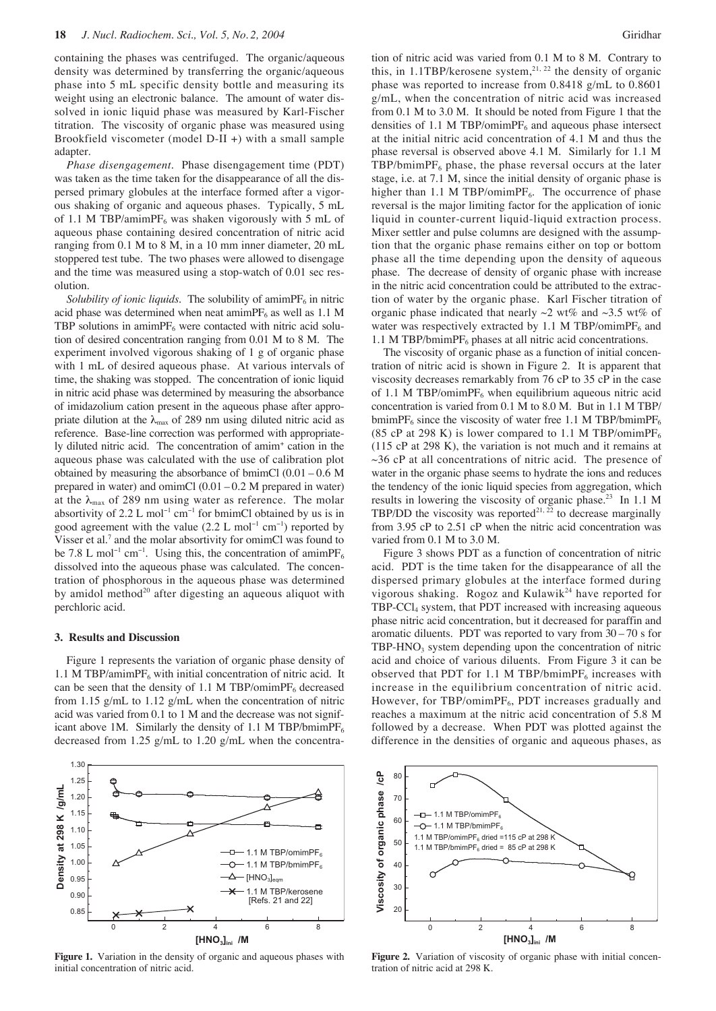containing the phases was centrifuged. The organic/aqueous density was determined by transferring the organic/aqueous phase into 5 mL specific density bottle and measuring its weight using an electronic balance. The amount of water dissolved in ionic liquid phase was measured by Karl-Fischer titration. The viscosity of organic phase was measured using Brookfield viscometer (model D-II +) with a small sample adapter.

*Phase disengagement.* Phase disengagement time (PDT) was taken as the time taken for the disappearance of all the dispersed primary globules at the interface formed after a vigorous shaking of organic and aqueous phases. Typically, 5 mL of 1.1 M TBP/amimPF<sub>6</sub> was shaken vigorously with 5 mL of aqueous phase containing desired concentration of nitric acid ranging from 0.1 M to 8 M, in a 10 mm inner diameter, 20 mL stoppered test tube. The two phases were allowed to disengage and the time was measured using a stop-watch of 0.01 sec resolution.

*Solubility of ionic liquids.* The solubility of amimP $F_6$  in nitric acid phase was determined when neat amimP $F_6$  as well as 1.1 M TBP solutions in amimP $F_6$  were contacted with nitric acid solution of desired concentration ranging from 0.01 M to 8 M. The experiment involved vigorous shaking of 1 g of organic phase with 1 mL of desired aqueous phase. At various intervals of time, the shaking was stopped. The concentration of ionic liquid in nitric acid phase was determined by measuring the absorbance of imidazolium cation present in the aqueous phase after appropriate dilution at the  $\lambda_{\text{max}}$  of 289 nm using diluted nitric acid as reference. Base-line correction was performed with appropriately diluted nitric acid. The concentration of amim+ cation in the aqueous phase was calculated with the use of calibration plot obtained by measuring the absorbance of bmimCl (0.01 – 0.6 M prepared in water) and omimCl  $(0.01 - 0.2$  M prepared in water) at the  $\lambda_{\text{max}}$  of 289 nm using water as reference. The molar absortivity of 2.2 L mol<sup>-1</sup> cm<sup>-1</sup> for bmimCl obtained by us is in good agreement with the value  $(2.2 \text{ L mol}^{-1} \text{ cm}^{-1})$  reported by Visser et al.<sup>7</sup> and the molar absortivity for omimCl was found to be 7.8 L mol<sup>-1</sup> cm<sup>-1</sup>. Using this, the concentration of amimPF<sub>6</sub> dissolved into the aqueous phase was calculated. The concentration of phosphorous in the aqueous phase was determined by amidol method<sup>20</sup> after digesting an aqueous aliquot with perchloric acid.

## **3. Results and Discussion**

Figure 1 represents the variation of organic phase density of 1.1 M TBP/amimPF<sub>6</sub> with initial concentration of nitric acid. It can be seen that the density of 1.1 M TBP/omimPF $<sub>6</sub>$  decreased</sub> from 1.15 g/mL to 1.12 g/mL when the concentration of nitric acid was varied from 0.1 to 1 M and the decrease was not significant above 1M. Similarly the density of 1.1 M TBP/bmimPF<sub>6</sub> decreased from 1.25 g/mL to 1.20 g/mL when the concentra-



**Figure 1.** Variation in the density of organic and aqueous phases with initial concentration of nitric acid.

tion of nitric acid was varied from 0.1 M to 8 M. Contrary to this, in 1.1TBP/kerosene system,<sup>21, 22</sup> the density of organic phase was reported to increase from 0.8418 g/mL to 0.8601 g/mL, when the concentration of nitric acid was increased from 0.1 M to 3.0 M. It should be noted from Figure 1 that the densities of 1.1 M TBP/omimP $F_6$  and aqueous phase intersect at the initial nitric acid concentration of 4.1 M and thus the phase reversal is observed above 4.1 M. Similarly for 1.1 M  $TBP/bmimPF<sub>6</sub>$  phase, the phase reversal occurs at the later stage, i.e. at 7.1 M, since the initial density of organic phase is higher than 1.1 M TBP/omimPF<sub>6</sub>. The occurrence of phase reversal is the major limiting factor for the application of ionic liquid in counter-current liquid-liquid extraction process. Mixer settler and pulse columns are designed with the assumption that the organic phase remains either on top or bottom phase all the time depending upon the density of aqueous phase. The decrease of density of organic phase with increase in the nitric acid concentration could be attributed to the extraction of water by the organic phase. Karl Fischer titration of organic phase indicated that nearly  $\sim$ 2 wt% and  $\sim$ 3.5 wt% of water was respectively extracted by 1.1 M TBP/omimP $F_6$  and 1.1 M TBP/bmimP $F_6$  phases at all nitric acid concentrations.

The viscosity of organic phase as a function of initial concentration of nitric acid is shown in Figure 2. It is apparent that viscosity decreases remarkably from 76 cP to 35 cP in the case of 1.1 M TBP/omimPF<sub>6</sub> when equilibrium aqueous nitric acid concentration is varied from 0.1 M to 8.0 M. But in 1.1 M TBP/ bmimPF<sub>6</sub> since the viscosity of water free 1.1 M TBP/bmimPF<sub>6</sub> (85 cP at 298 K) is lower compared to 1.1 M TBP/omimPF<sub>6</sub> (115 cP at 298 K), the variation is not much and it remains at  $\sim$ 36 cP at all concentrations of nitric acid. The presence of water in the organic phase seems to hydrate the ions and reduces the tendency of the ionic liquid species from aggregation, which results in lowering the viscosity of organic phase.<sup>23</sup> In 1.1 M TBP/DD the viscosity was reported<sup>21, 22</sup> to decrease marginally from 3.95 cP to 2.51 cP when the nitric acid concentration was varied from 0.1 M to 3.0 M.

Figure 3 shows PDT as a function of concentration of nitric acid. PDT is the time taken for the disappearance of all the dispersed primary globules at the interface formed during vigorous shaking. Rogoz and Kulawik<sup>24</sup> have reported for  $TBP-CCl<sub>4</sub>$  system, that PDT increased with increasing aqueous phase nitric acid concentration, but it decreased for paraffin and aromatic diluents. PDT was reported to vary from  $30 - 70$  s for  $TBP-HNO<sub>3</sub>$  system depending upon the concentration of nitric acid and choice of various diluents. From Figure 3 it can be observed that PDT for 1.1 M TBP/bmimPF $_6$  increases with increase in the equilibrium concentration of nitric acid. However, for TBP/omimPF $_6$ , PDT increases gradually and reaches a maximum at the nitric acid concentration of 5.8 M followed by a decrease. When PDT was plotted against the difference in the densities of organic and aqueous phases, as



**Figure 2.** Variation of viscosity of organic phase with initial concentration of nitric acid at 298 K.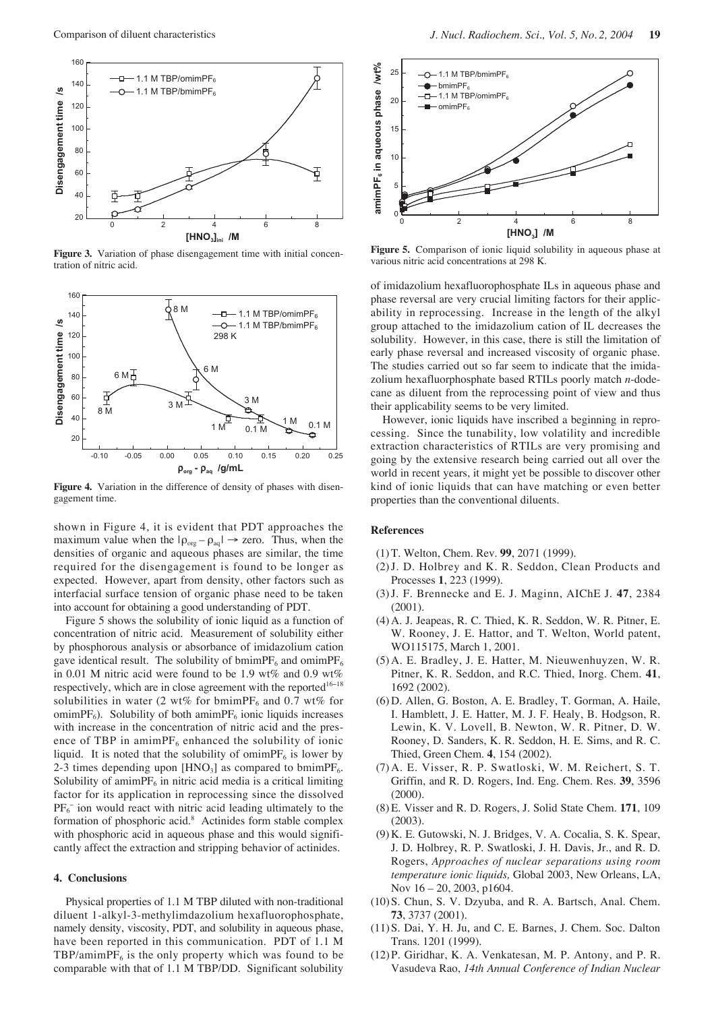

Figure 3. Variation of phase disengagement time with initial concentration of nitric acid.



Figure 4. Variation in the difference of density of phases with disengagement time.

shown in Figure 4, it is evident that PDT approaches the maximum value when the  $|\rho_{\text{org}} - \rho_{\text{aq}}| \rightarrow$  zero. Thus, when the densities of organic and aqueous phases are similar, the time required for the disengagement is found to be longer as expected. However, apart from density, other factors such as interfacial surface tension of organic phase need to be taken into account for obtaining a good understanding of PDT.

Figure 5 shows the solubility of ionic liquid as a function of concentration of nitric acid. Measurement of solubility either by phosphorous analysis or absorbance of imidazolium cation gave identical result. The solubility of bmimPF<sub>6</sub> and omimPF<sub>6</sub> in 0.01 M nitric acid were found to be 1.9 wt% and 0.9 wt% respectively, which are in close agreement with the reported<sup>16-18</sup> solubilities in water (2 wt% for bmimPF<sub>6</sub> and 0.7 wt% for omimPF<sub>6</sub>). Solubility of both amimPF<sub>6</sub> ionic liquids increases with increase in the concentration of nitric acid and the presence of TBP in amimPF<sub>6</sub> enhanced the solubility of ionic liquid. It is noted that the solubility of omimPF $_6$  is lower by 2-3 times depending upon  $[HNO<sub>3</sub>]$  as compared to bmimPF<sub>6</sub>. Solubility of amimP $F_6$  in nitric acid media is a critical limiting factor for its application in reprocessing since the dissolved  $PF_6^-$  ion would react with nitric acid leading ultimately to the formation of phosphoric acid.8 Actinides form stable complex with phosphoric acid in aqueous phase and this would significantly affect the extraction and stripping behavior of actinides.

#### **4. Conclusions**

Physical properties of 1.1 M TBP diluted with non-traditional diluent 1-alkyl-3-methylimdazolium hexafluorophosphate, namely density, viscosity, PDT, and solubility in aqueous phase, have been reported in this communication. PDT of 1.1 M TBP/amimP $F_6$  is the only property which was found to be comparable with that of 1.1 M TBP/DD. Significant solubility



**Figure 5.** Comparison of ionic liquid solubility in aqueous phase at various nitric acid concentrations at 298 K.

of imidazolium hexafluorophosphate ILs in aqueous phase and phase reversal are very crucial limiting factors for their applicability in reprocessing. Increase in the length of the alkyl group attached to the imidazolium cation of IL decreases the solubility. However, in this case, there is still the limitation of early phase reversal and increased viscosity of organic phase. The studies carried out so far seem to indicate that the imidazolium hexafluorphosphate based RTILs poorly match *n*-dodecane as diluent from the reprocessing point of view and thus their applicability seems to be very limited.

However, ionic liquids have inscribed a beginning in reprocessing. Since the tunability, low volatility and incredible extraction characteristics of RTILs are very promising and going by the extensive research being carried out all over the world in recent years, it might yet be possible to discover other kind of ionic liquids that can have matching or even better properties than the conventional diluents.

### **References**

- (1) T. Welton, Chem. Rev. **99**, 2071 (1999).
- (2)J. D. Holbrey and K. R. Seddon, Clean Products and Processes **1**, 223 (1999).
- (3)J. F. Brennecke and E. J. Maginn, AIChE J. **47**, 2384  $(2001)$ .
- (4) A. J. Jeapeas, R. C. Thied, K. R. Seddon, W. R. Pitner, E. W. Rooney, J. E. Hattor, and T. Welton, World patent, WO115175, March 1, 2001.
- (5) A. E. Bradley, J. E. Hatter, M. Nieuwenhuyzen, W. R. Pitner, K. R. Seddon, and R.C. Thied, Inorg. Chem. **41**, 1692 (2002).
- (6) D. Allen, G. Boston, A. E. Bradley, T. Gorman, A. Haile, I. Hamblett, J. E. Hatter, M. J. F. Healy, B. Hodgson, R. Lewin, K. V. Lovell, B. Newton, W. R. Pitner, D. W. Rooney, D. Sanders, K. R. Seddon, H. E. Sims, and R. C. Thied, Green Chem. **4**, 154 (2002).
- (7) A. E. Visser, R. P. Swatloski, W. M. Reichert, S. T. Griffin, and R. D. Rogers, Ind. Eng. Chem. Res. **39**, 3596 (2000).
- (8) E. Visser and R. D. Rogers, J. Solid State Chem. **171**, 109 (2003).
- (9) K. E. Gutowski, N. J. Bridges, V. A. Cocalia, S. K. Spear, J. D. Holbrey, R. P. Swatloski, J. H. Davis, Jr., and R. D. Rogers, *Approaches of nuclear separations using room temperature ionic liquids,* Global 2003, New Orleans, LA, Nov 16 – 20, 2003, p1604.
- (10)S. Chun, S. V. Dzyuba, and R. A. Bartsch, Anal. Chem. **73**, 3737 (2001).
- (11)S. Dai, Y. H. Ju, and C. E. Barnes, J. Chem. Soc. Dalton Trans. 1201 (1999).
- (12)P. Giridhar, K. A. Venkatesan, M. P. Antony, and P. R. Vasudeva Rao, *14th Annual Conference of Indian Nuclear*